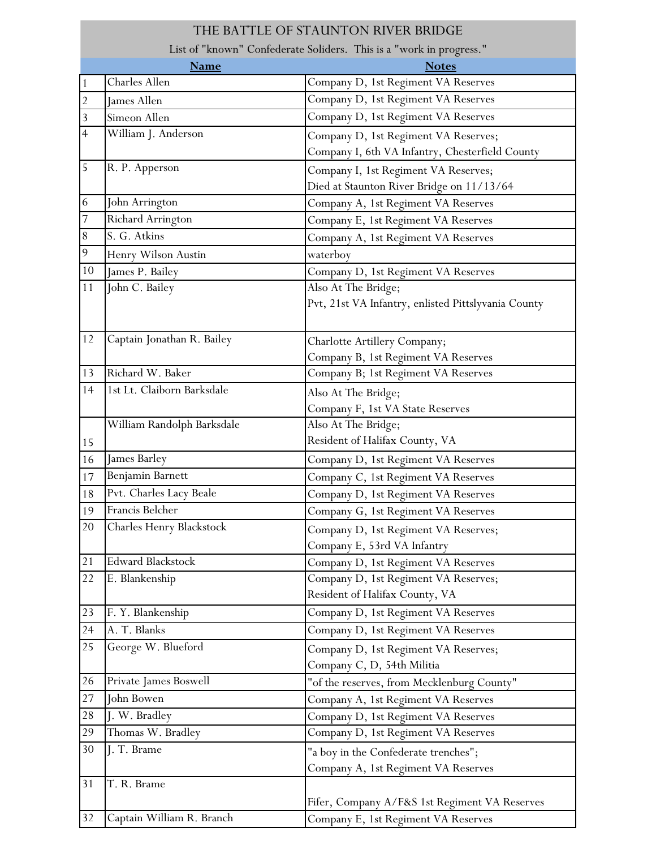|                | THE BATTLE OF STAUNTON RIVER BRIDGE                                 |                                                     |  |
|----------------|---------------------------------------------------------------------|-----------------------------------------------------|--|
|                | List of "known" Confederate Soliders. This is a "work in progress." |                                                     |  |
|                | <b>Name</b>                                                         | <b>Notes</b>                                        |  |
| 1              | Charles Allen                                                       | Company D, 1st Regiment VA Reserves                 |  |
| $\overline{2}$ | James Allen                                                         | Company D, 1st Regiment VA Reserves                 |  |
| 3              | Simeon Allen                                                        | Company D, 1st Regiment VA Reserves                 |  |
| 4              | William J. Anderson                                                 | Company D, 1st Regiment VA Reserves;                |  |
|                |                                                                     | Company I, 6th VA Infantry, Chesterfield County     |  |
| 5              | R. P. Apperson                                                      | Company I, 1st Regiment VA Reserves;                |  |
|                |                                                                     | Died at Staunton River Bridge on 11/13/64           |  |
| 6              | John Arrington                                                      | Company A, 1st Regiment VA Reserves                 |  |
| 7              | Richard Arrington                                                   | Company E, 1st Regiment VA Reserves                 |  |
| $8\,$          | S. G. Atkins                                                        | Company A, 1st Regiment VA Reserves                 |  |
| 9              | Henry Wilson Austin                                                 | waterboy                                            |  |
| 10             | James P. Bailey                                                     | Company D, 1st Regiment VA Reserves                 |  |
| 11             | John C. Bailey                                                      | Also At The Bridge;                                 |  |
|                |                                                                     | Pvt, 21st VA Infantry, enlisted Pittslyvania County |  |
|                |                                                                     |                                                     |  |
| 12             | Captain Jonathan R. Bailey                                          | Charlotte Artillery Company;                        |  |
|                |                                                                     | Company B, 1st Regiment VA Reserves                 |  |
| 13             | Richard W. Baker                                                    | Company B; 1st Regiment VA Reserves                 |  |
| 14             | 1st Lt. Claiborn Barksdale                                          | Also At The Bridge;                                 |  |
|                |                                                                     | Company F, 1st VA State Reserves                    |  |
|                | William Randolph Barksdale                                          | Also At The Bridge;                                 |  |
| 15             |                                                                     | Resident of Halifax County, VA                      |  |
| 16             | James Barley                                                        | Company D, 1st Regiment VA Reserves                 |  |
| 17             | Benjamin Barnett                                                    | Company C, 1st Regiment VA Reserves                 |  |
| 18             | Pvt. Charles Lacy Beale                                             | Company D, 1st Regiment VA Reserves                 |  |
| 19             | Francis Belcher                                                     | Company G, 1st Regiment VA Reserves                 |  |
| 20             | Charles Henry Blackstock                                            | Company D, 1st Regiment VA Reserves;                |  |
|                |                                                                     | Company E, 53rd VA Infantry                         |  |
| 21             | <b>Edward Blackstock</b>                                            | Company D, 1st Regiment VA Reserves                 |  |
| 22             | E. Blankenship                                                      | Company D, 1st Regiment VA Reserves;                |  |
|                |                                                                     | Resident of Halifax County, VA                      |  |
| 23             | F. Y. Blankenship                                                   | Company D, 1st Regiment VA Reserves                 |  |
| 24             | A. T. Blanks                                                        | Company D, 1st Regiment VA Reserves                 |  |
| 25             | George W. Blueford                                                  | Company D, 1st Regiment VA Reserves;                |  |
|                |                                                                     | Company C, D, 54th Militia                          |  |
| 26             | Private James Boswell                                               | "of the reserves, from Mecklenburg County"          |  |
| 27             | John Bowen                                                          | Company A, 1st Regiment VA Reserves                 |  |
| 28             | J. W. Bradley                                                       | Company D, 1st Regiment VA Reserves                 |  |
| 29             | Thomas W. Bradley                                                   | Company D, 1st Regiment VA Reserves                 |  |
| 30             | J. T. Brame                                                         | "a boy in the Confederate trenches";                |  |
|                |                                                                     | Company A, 1st Regiment VA Reserves                 |  |
| 31             | T. R. Brame                                                         |                                                     |  |
|                |                                                                     | Fifer, Company A/F&S 1st Regiment VA Reserves       |  |
| 32             | Captain William R. Branch                                           | Company E, 1st Regiment VA Reserves                 |  |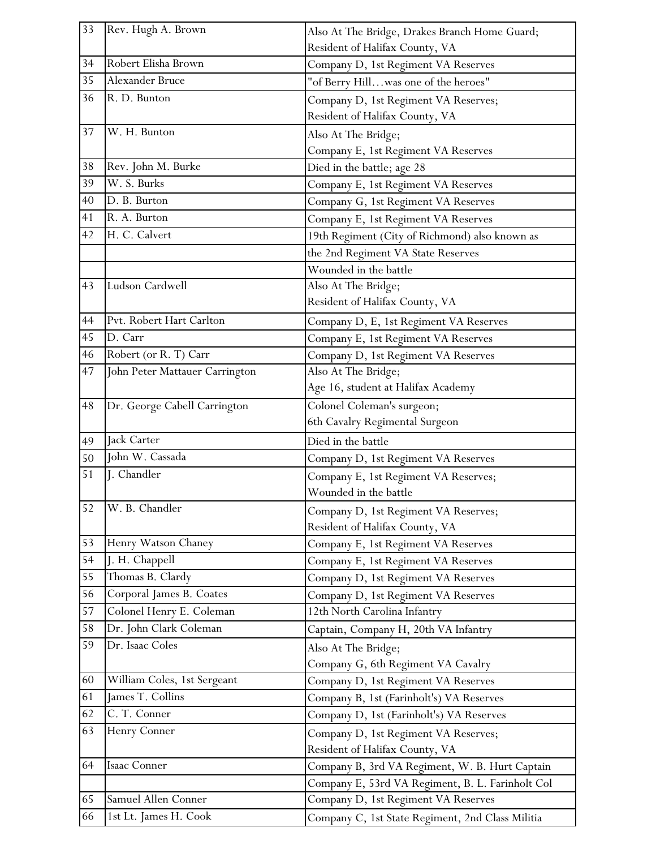| 33 | Rev. Hugh A. Brown             | Also At The Bridge, Drakes Branch Home Guard;    |
|----|--------------------------------|--------------------------------------------------|
|    |                                | Resident of Halifax County, VA                   |
| 34 | Robert Elisha Brown            | Company D, 1st Regiment VA Reserves              |
| 35 | Alexander Bruce                | "of Berry Hillwas one of the heroes"             |
| 36 | R. D. Bunton                   | Company D, 1st Regiment VA Reserves;             |
|    |                                | Resident of Halifax County, VA                   |
| 37 | W. H. Bunton                   | Also At The Bridge;                              |
|    |                                | Company E, 1st Regiment VA Reserves              |
| 38 | Rev. John M. Burke             | Died in the battle; age 28                       |
| 39 | W. S. Burks                    | Company E, 1st Regiment VA Reserves              |
| 40 | D. B. Burton                   | Company G, 1st Regiment VA Reserves              |
| 41 | R. A. Burton                   | Company E, 1st Regiment VA Reserves              |
| 42 | H. C. Calvert                  | 19th Regiment (City of Richmond) also known as   |
|    |                                | the 2nd Regiment VA State Reserves               |
|    |                                | Wounded in the battle                            |
| 43 | Ludson Cardwell                | Also At The Bridge;                              |
|    |                                | Resident of Halifax County, VA                   |
| 44 | Pvt. Robert Hart Carlton       | Company D, E, 1st Regiment VA Reserves           |
| 45 | D. Carr                        | Company E, 1st Regiment VA Reserves              |
| 46 | Robert (or R. T) Carr          | Company D, 1st Regiment VA Reserves              |
| 47 | John Peter Mattauer Carrington | Also At The Bridge;                              |
|    |                                | Age 16, student at Halifax Academy               |
| 48 | Dr. George Cabell Carrington   | Colonel Coleman's surgeon;                       |
|    |                                | 6th Cavalry Regimental Surgeon                   |
| 49 | Jack Carter                    | Died in the battle                               |
| 50 | John W. Cassada                | Company D, 1st Regiment VA Reserves              |
| 51 | J. Chandler                    | Company E, 1st Regiment VA Reserves;             |
|    |                                | Wounded in the battle                            |
| 52 | W. B. Chandler                 | Company D, 1st Regiment VA Reserves;             |
|    |                                | Resident of Halifax County, VA                   |
| 53 | Henry Watson Chaney            | Company E, 1st Regiment VA Reserves              |
| 54 | J. H. Chappell                 | Company E, 1st Regiment VA Reserves              |
| 55 | Thomas B. Clardy               | Company D, 1st Regiment VA Reserves              |
| 56 | Corporal James B. Coates       | Company D, 1st Regiment VA Reserves              |
| 57 | Colonel Henry E. Coleman       | 12th North Carolina Infantry                     |
| 58 | Dr. John Clark Coleman         | Captain, Company H, 20th VA Infantry             |
| 59 | Dr. Isaac Coles                | Also At The Bridge;                              |
|    |                                | Company G, 6th Regiment VA Cavalry               |
| 60 | William Coles, 1st Sergeant    | Company D, 1st Regiment VA Reserves              |
| 61 | James T. Collins               | Company B, 1st (Farinholt's) VA Reserves         |
| 62 | C. T. Conner                   | Company D, 1st (Farinholt's) VA Reserves         |
| 63 | Henry Conner                   | Company D, 1st Regiment VA Reserves;             |
|    |                                | Resident of Halifax County, VA                   |
| 64 | Isaac Conner                   | Company B, 3rd VA Regiment, W. B. Hurt Captain   |
|    |                                | Company E, 53rd VA Regiment, B. L. Farinholt Col |
| 65 | Samuel Allen Conner            | Company D, 1st Regiment VA Reserves              |
| 66 | 1st Lt. James H. Cook          | Company C, 1st State Regiment, 2nd Class Militia |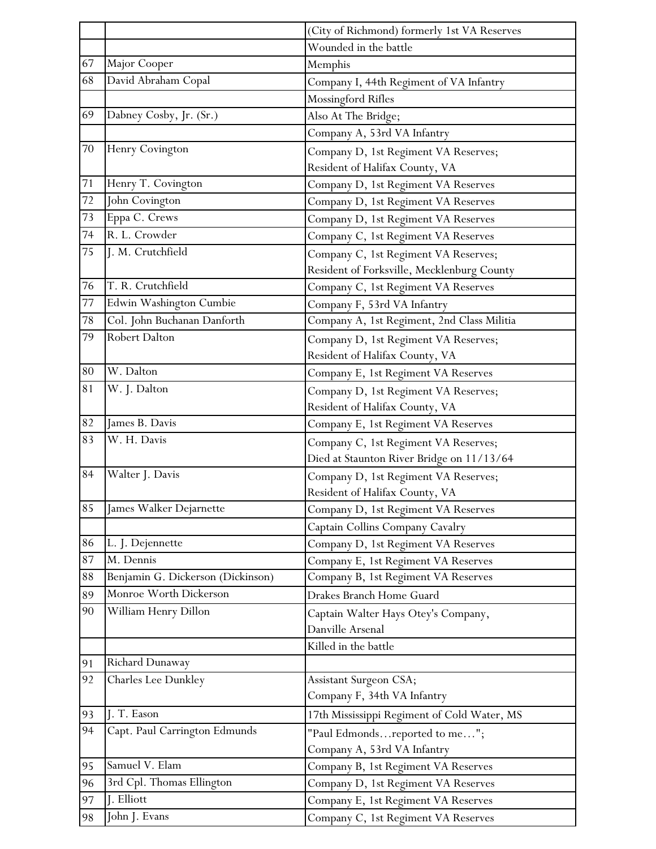|        |                                   | (City of Richmond) formerly 1st VA Reserves |
|--------|-----------------------------------|---------------------------------------------|
|        |                                   | Wounded in the battle                       |
| 67     | Major Cooper                      | Memphis                                     |
| 68     | David Abraham Copal               | Company I, 44th Regiment of VA Infantry     |
|        |                                   | Mossingford Rifles                          |
| 69     | Dabney Cosby, Jr. (Sr.)           | Also At The Bridge;                         |
|        |                                   | Company A, 53rd VA Infantry                 |
| 70     | Henry Covington                   | Company D, 1st Regiment VA Reserves;        |
|        |                                   | Resident of Halifax County, VA              |
| 71     | Henry T. Covington                | Company D, 1st Regiment VA Reserves         |
| 72     | John Covington                    | Company D, 1st Regiment VA Reserves         |
| 73     | Eppa C. Crews                     | Company D, 1st Regiment VA Reserves         |
| 74     | R. L. Crowder                     | Company C, 1st Regiment VA Reserves         |
| 75     | J. M. Crutchfield                 | Company C, 1st Regiment VA Reserves;        |
|        |                                   | Resident of Forksville, Mecklenburg County  |
| 76     | T. R. Crutchfield                 | Company C, 1st Regiment VA Reserves         |
| $77\,$ | Edwin Washington Cumbie           | Company F, 53rd VA Infantry                 |
| 78     | Col. John Buchanan Danforth       | Company A, 1st Regiment, 2nd Class Militia  |
| 79     | Robert Dalton                     | Company D, 1st Regiment VA Reserves;        |
|        |                                   | Resident of Halifax County, VA              |
| 80     | W. Dalton                         | Company E, 1st Regiment VA Reserves         |
| 81     | W. J. Dalton                      | Company D, 1st Regiment VA Reserves;        |
|        |                                   | Resident of Halifax County, VA              |
| 82     | James B. Davis                    | Company E, 1st Regiment VA Reserves         |
| 83     | W. H. Davis                       | Company C, 1st Regiment VA Reserves;        |
|        |                                   | Died at Staunton River Bridge on 11/13/64   |
| 84     | Walter J. Davis                   | Company D, 1st Regiment VA Reserves;        |
|        |                                   | Resident of Halifax County, VA              |
| 85     | James Walker Dejarnette           | Company D, 1st Regiment VA Reserves         |
|        |                                   | Captain Collins Company Cavalry             |
| 86     | L. J. Dejennette                  | Company D, 1st Regiment VA Reserves         |
| $87\,$ | M. Dennis                         | Company E, 1st Regiment VA Reserves         |
| 88     | Benjamin G. Dickerson (Dickinson) | Company B, 1st Regiment VA Reserves         |
| 89     | Monroe Worth Dickerson            | Drakes Branch Home Guard                    |
| 90     | William Henry Dillon              | Captain Walter Hays Otey's Company,         |
|        |                                   | Danville Arsenal                            |
|        |                                   | Killed in the battle                        |
| 91     | Richard Dunaway                   |                                             |
| 92     | Charles Lee Dunkley               | Assistant Surgeon CSA;                      |
|        |                                   | Company F, 34th VA Infantry                 |
| 93     | J. T. Eason                       | 17th Mississippi Regiment of Cold Water, MS |
| 94     | Capt. Paul Carrington Edmunds     | "Paul Edmondsreported to me";               |
|        |                                   | Company A, 53rd VA Infantry                 |
| 95     | Samuel V. Elam                    | Company B, 1st Regiment VA Reserves         |
| 96     | 3rd Cpl. Thomas Ellington         | Company D, 1st Regiment VA Reserves         |
| 97     | J. Elliott                        | Company E, 1st Regiment VA Reserves         |
| 98     | John J. Evans                     | Company C, 1st Regiment VA Reserves         |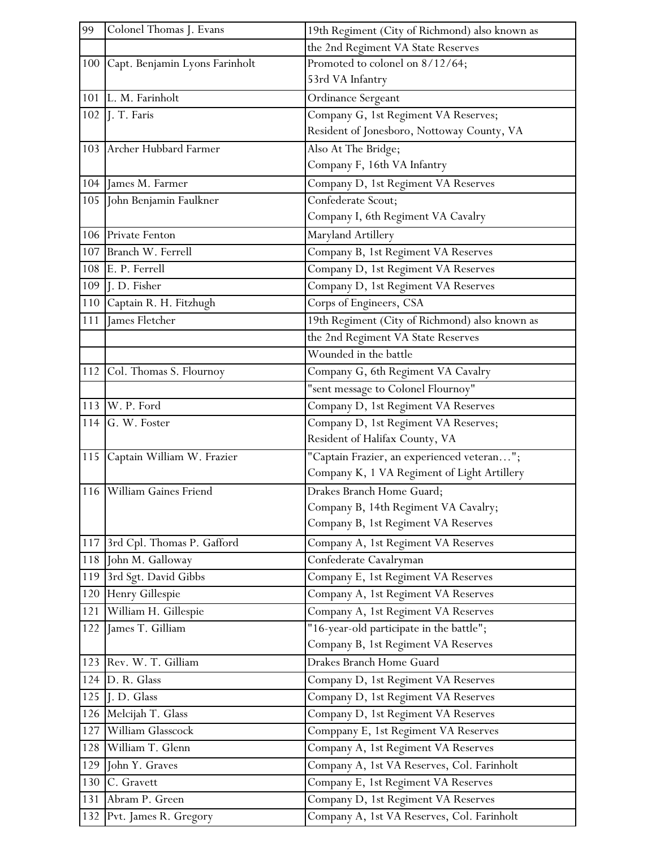| 99  | Colonel Thomas J. Evans            | 19th Regiment (City of Richmond) also known as |
|-----|------------------------------------|------------------------------------------------|
|     |                                    | the 2nd Regiment VA State Reserves             |
|     | 100 Capt. Benjamin Lyons Farinholt | Promoted to colonel on 8/12/64;                |
|     |                                    | 53rd VA Infantry                               |
|     | 101 L. M. Farinholt                | Ordinance Sergeant                             |
|     | 102   J. T. Faris                  | Company G, 1st Regiment VA Reserves;           |
|     |                                    | Resident of Jonesboro, Nottoway County, VA     |
|     | 103 Archer Hubbard Farmer          | Also At The Bridge;                            |
|     |                                    | Company F, 16th VA Infantry                    |
|     | 104 James M. Farmer                | Company D, 1st Regiment VA Reserves            |
|     | 105 John Benjamin Faulkner         | Confederate Scout;                             |
|     |                                    | Company I, 6th Regiment VA Cavalry             |
|     | 106 Private Fenton                 | Maryland Artillery                             |
| 107 | Branch W. Ferrell                  | Company B, 1st Regiment VA Reserves            |
| 108 | E. P. Ferrell                      | Company D, 1st Regiment VA Reserves            |
| 109 | L.D. Fisher                        | Company D, 1st Regiment VA Reserves            |
|     | 110 Captain R. H. Fitzhugh         | Corps of Engineers, CSA                        |
| 111 | James Fletcher                     | 19th Regiment (City of Richmond) also known as |
|     |                                    | the 2nd Regiment VA State Reserves             |
|     |                                    | Wounded in the battle                          |
|     | 112 Col. Thomas S. Flournoy        | Company G, 6th Regiment VA Cavalry             |
|     |                                    | "sent message to Colonel Flournoy"             |
|     | 113 W. P. Ford                     | Company D, 1st Regiment VA Reserves            |
|     | 114 $G.$ W. Foster                 | Company D, 1st Regiment VA Reserves;           |
|     |                                    | Resident of Halifax County, VA                 |
|     | 115 Captain William W. Frazier     | "Captain Frazier, an experienced veteran";     |
|     |                                    | Company K, 1 VA Regiment of Light Artillery    |
|     | 116 William Gaines Friend          | Drakes Branch Home Guard;                      |
|     |                                    | Company B, 14th Regiment VA Cavalry;           |
|     |                                    | Company B, 1st Regiment VA Reserves            |
|     | 117 3rd Cpl. Thomas P. Gafford     | Company A, 1st Regiment VA Reserves            |
| 118 | John M. Galloway                   | Confederate Cavalryman                         |
| 119 | 3rd Sgt. David Gibbs               | Company E, 1st Regiment VA Reserves            |
| 120 | Henry Gillespie                    | Company A, 1st Regiment VA Reserves            |
| 121 | William H. Gillespie               | Company A, 1st Regiment VA Reserves            |
|     | 122 James T. Gilliam               | "16-year-old participate in the battle";       |
|     |                                    | Company B, 1st Regiment VA Reserves            |
|     | 123 Rev. W. T. Gilliam             | Drakes Branch Home Guard                       |
|     | 124 D. R. Glass                    | Company D, 1st Regiment VA Reserves            |
|     | 125 J.D. Glass                     | Company D, 1st Regiment VA Reserves            |
|     | 126 Melcijah T. Glass              | Company D, 1st Regiment VA Reserves            |
| 127 | William Glasscock                  | Comppany E, 1st Regiment VA Reserves           |
| 128 | William T. Glenn                   | Company A, 1st Regiment VA Reserves            |
|     | 129 John Y. Graves                 | Company A, 1st VA Reserves, Col. Farinholt     |
|     | 130 C. Gravett                     | Company E, 1st Regiment VA Reserves            |
| 131 | Abram P. Green                     | Company D, 1st Regiment VA Reserves            |
|     | 132 Pvt. James R. Gregory          | Company A, 1st VA Reserves, Col. Farinholt     |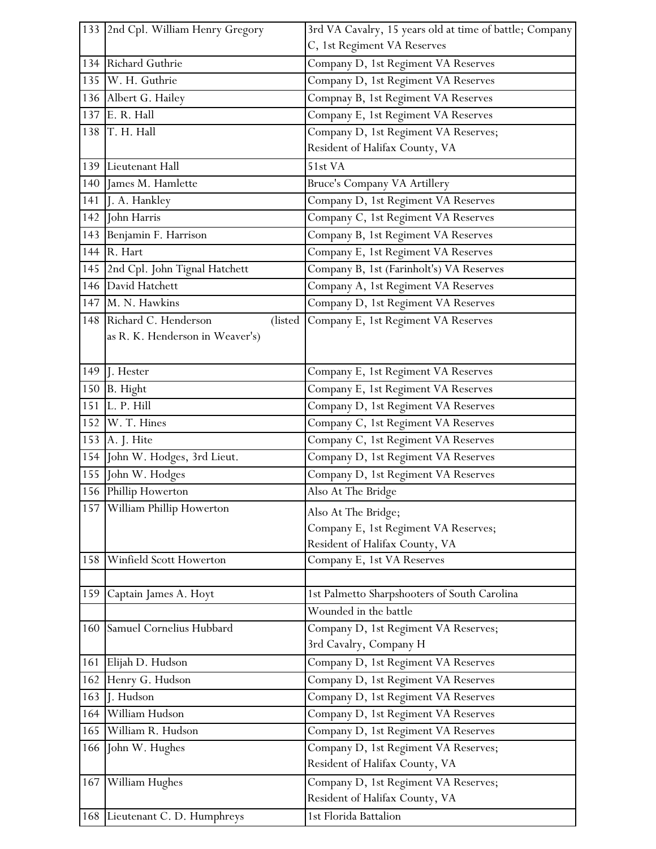|     | 133 2nd Cpl. William Henry Gregory  | 3rd VA Cavalry, 15 years old at time of battle; Company |
|-----|-------------------------------------|---------------------------------------------------------|
|     |                                     | C, 1st Regiment VA Reserves                             |
|     | 134 Richard Guthrie                 | Company D, 1st Regiment VA Reserves                     |
|     | 135 W. H. Guthrie                   | Company D, 1st Regiment VA Reserves                     |
|     | 136 Albert G. Hailey                | Compnay B, 1st Regiment VA Reserves                     |
|     | 137 E. R. Hall                      | Company E, 1st Regiment VA Reserves                     |
|     | 138 T. H. Hall                      | Company D, 1st Regiment VA Reserves;                    |
|     |                                     | Resident of Halifax County, VA                          |
|     | 139 Lieutenant Hall                 | 51st VA                                                 |
| 140 | James M. Hamlette                   | Bruce's Company VA Artillery                            |
| 141 | J. A. Hankley                       | Company D, 1st Regiment VA Reserves                     |
| 142 | John Harris                         | Company C, 1st Regiment VA Reserves                     |
|     | 143 Benjamin F. Harrison            | Company B, 1st Regiment VA Reserves                     |
| 144 | R. Hart                             | Company E, 1st Regiment VA Reserves                     |
|     | 145 2nd Cpl. John Tignal Hatchett   | Company B, 1st (Farinholt's) VA Reserves                |
|     | 146 David Hatchett                  | Company A, 1st Regiment VA Reserves                     |
|     | 147 M. N. Hawkins                   | Company D, 1st Regiment VA Reserves                     |
|     | 148 Richard C. Henderson<br>(listed | Company E, 1st Regiment VA Reserves                     |
|     | as R. K. Henderson in Weaver's)     |                                                         |
|     |                                     |                                                         |
|     | 149 $\vert$ . Hester                | Company E, 1st Regiment VA Reserves                     |
|     | 150 B. Hight                        | Company E, 1st Regiment VA Reserves                     |
| 151 | L. P. Hill                          | Company D, 1st Regiment VA Reserves                     |
| 152 | W. T. Hines                         | Company C, 1st Regiment VA Reserves                     |
|     | 153 A. J. Hite                      | Company C, 1st Regiment VA Reserves                     |
| 154 | John W. Hodges, 3rd Lieut.          | Company D, 1st Regiment VA Reserves                     |
| 155 | John W. Hodges                      | Company D, 1st Regiment VA Reserves                     |
|     | 156 Phillip Howerton                | Also At The Bridge                                      |
| 157 | William Phillip Howerton            | Also At The Bridge;                                     |
|     |                                     | Company E, 1st Regiment VA Reserves;                    |
|     |                                     | Resident of Halifax County, VA                          |
| 158 | Winfield Scott Howerton             | Company E, 1st VA Reserves                              |
|     |                                     |                                                         |
| 159 | Captain James A. Hoyt               | 1st Palmetto Sharpshooters of South Carolina            |
|     |                                     | Wounded in the battle                                   |
| 160 | Samuel Cornelius Hubbard            | Company D, 1st Regiment VA Reserves;                    |
|     |                                     | 3rd Cavalry, Company H                                  |
| 161 | Elijah D. Hudson                    | Company D, 1st Regiment VA Reserves                     |
| 162 | Henry G. Hudson                     | Company D, 1st Regiment VA Reserves                     |
| 163 | J. Hudson                           | Company D, 1st Regiment VA Reserves                     |
| 164 | William Hudson                      | Company D, 1st Regiment VA Reserves                     |
| 165 | William R. Hudson                   | Company D, 1st Regiment VA Reserves                     |
| 166 | John W. Hughes                      | Company D, 1st Regiment VA Reserves;                    |
|     |                                     | Resident of Halifax County, VA                          |
| 167 | William Hughes                      | Company D, 1st Regiment VA Reserves;                    |
|     |                                     | Resident of Halifax County, VA                          |
| 168 | Lieutenant C. D. Humphreys          | 1st Florida Battalion                                   |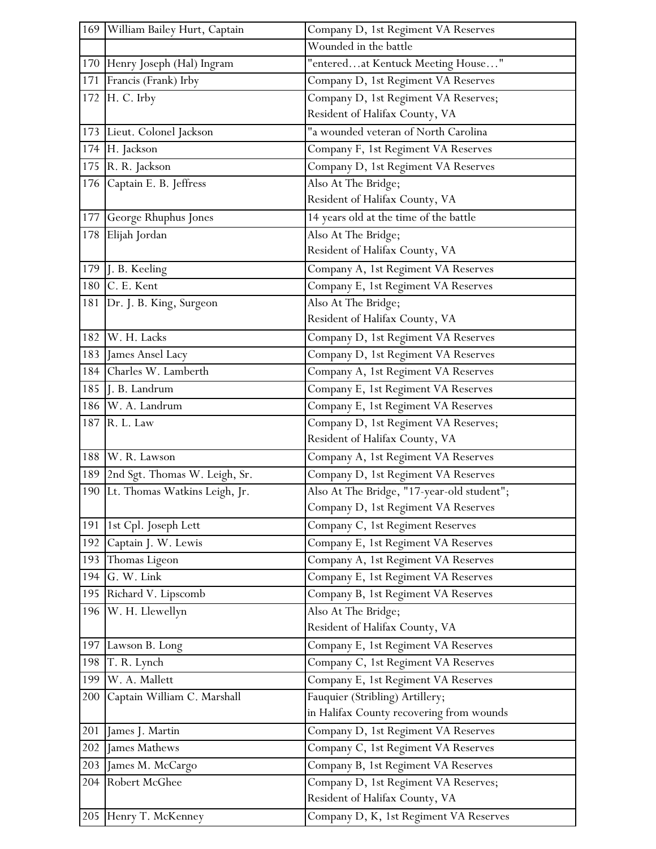|     | 169 William Bailey Hurt, Captain    | Company D, 1st Regiment VA Reserves        |
|-----|-------------------------------------|--------------------------------------------|
|     |                                     | Wounded in the battle                      |
|     | 170 Henry Joseph (Hal) Ingram       | "enteredat Kentuck Meeting House"          |
|     | 171 Francis (Frank) Irby            | Company D, 1st Regiment VA Reserves        |
|     | 172 H. C. Irby                      | Company D, 1st Regiment VA Reserves;       |
|     |                                     | Resident of Halifax County, VA             |
|     | 173 Lieut. Colonel Jackson          | "a wounded veteran of North Carolina       |
|     | 174 H. Jackson                      | Company F, 1st Regiment VA Reserves        |
|     | 175 R. R. Jackson                   | Company D, 1st Regiment VA Reserves        |
| 176 | Captain E. B. Jeffress              | Also At The Bridge;                        |
|     |                                     | Resident of Halifax County, VA             |
|     | 177 George Rhuphus Jones            | 14 years old at the time of the battle     |
| 178 | Elijah Jordan                       | Also At The Bridge;                        |
|     |                                     | Resident of Halifax County, VA             |
|     | 179 J. B. Keeling                   | Company A, 1st Regiment VA Reserves        |
|     | 180 C. E. Kent                      | Company E, 1st Regiment VA Reserves        |
|     | 181 Dr. J. B. King, Surgeon         | Also At The Bridge;                        |
|     |                                     | Resident of Halifax County, VA             |
|     | 182 W. H. Lacks                     | Company D, 1st Regiment VA Reserves        |
|     | 183 James Ansel Lacy                | Company D, 1st Regiment VA Reserves        |
|     | 184 Charles W. Lamberth             | Company A, 1st Regiment VA Reserves        |
|     | 185 J. B. Landrum                   | Company E, 1st Regiment VA Reserves        |
|     | 186 W. A. Landrum                   | Company E, 1st Regiment VA Reserves        |
|     | 187 R. L. Law                       | Company D, 1st Regiment VA Reserves;       |
|     |                                     | Resident of Halifax County, VA             |
|     | 188 W. R. Lawson                    | Company A, 1st Regiment VA Reserves        |
|     | 189   2nd Sgt. Thomas W. Leigh, Sr. | Company D, 1st Regiment VA Reserves        |
|     | 190 Lt. Thomas Watkins Leigh, Jr.   | Also At The Bridge, "17-year-old student"; |
|     |                                     | Company D, 1st Regiment VA Reserves        |
|     | 191   1st Cpl. Joseph Lett          | Company C, 1st Regiment Reserves           |
| 192 | Captain J. W. Lewis                 | Company E, 1st Regiment VA Reserves        |
|     | 193 Thomas Ligeon                   | Company A, 1st Regiment VA Reserves        |
| 194 | G. W. Link                          | Company E, 1st Regiment VA Reserves        |
|     | 195 Richard V. Lipscomb             | Company B, 1st Regiment VA Reserves        |
| 196 | W. H. Llewellyn                     | Also At The Bridge;                        |
|     |                                     | Resident of Halifax County, VA             |
|     | 197 Lawson B. Long                  | Company E, 1st Regiment VA Reserves        |
|     | 198 T. R. Lynch                     | Company C, 1st Regiment VA Reserves        |
|     | 199 W. A. Mallett                   | Company E, 1st Regiment VA Reserves        |
| 200 | Captain William C. Marshall         | Fauquier (Stribling) Artillery;            |
|     |                                     | in Halifax County recovering from wounds   |
| 201 | James J. Martin                     | Company D, 1st Regiment VA Reserves        |
| 202 | James Mathews                       | Company C, 1st Regiment VA Reserves        |
| 203 | James M. McCargo                    | Company B, 1st Regiment VA Reserves        |
| 204 | Robert McGhee                       | Company D, 1st Regiment VA Reserves;       |
|     |                                     | Resident of Halifax County, VA             |
|     | 205 Henry T. McKenney               | Company D, K, 1st Regiment VA Reserves     |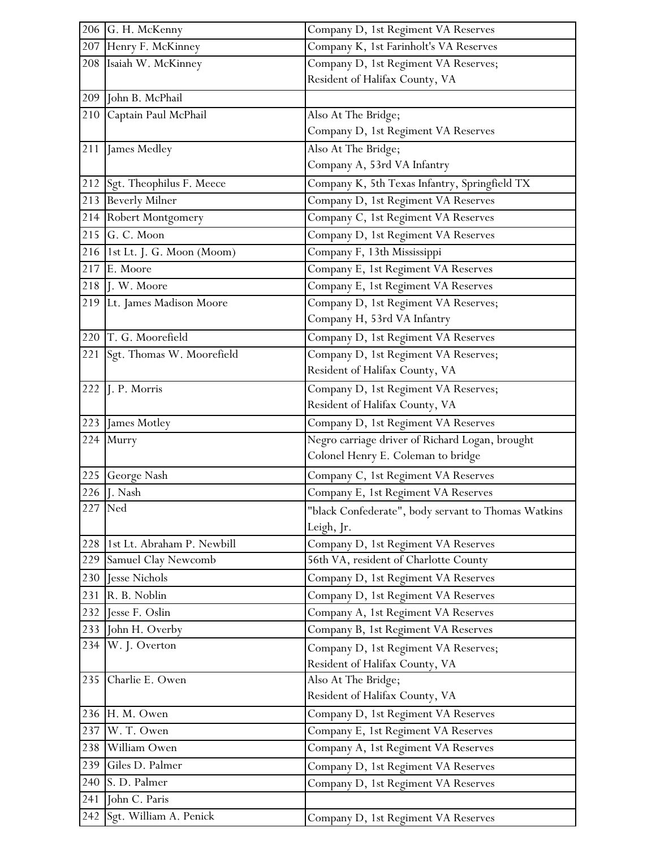|     | 206 G. H. McKenny              | Company D, 1st Regiment VA Reserves                 |
|-----|--------------------------------|-----------------------------------------------------|
|     | 207 Henry F. McKinney          | Company K, 1st Farinholt's VA Reserves              |
|     | 208 Isaiah W. McKinney         | Company D, 1st Regiment VA Reserves;                |
|     |                                | Resident of Halifax County, VA                      |
| 209 | John B. McPhail                |                                                     |
| 210 | Captain Paul McPhail           | Also At The Bridge;                                 |
|     |                                | Company D, 1st Regiment VA Reserves                 |
|     | 211 James Medley               | Also At The Bridge;                                 |
|     |                                | Company A, 53rd VA Infantry                         |
|     | 212 Sgt. Theophilus F. Meece   | Company K, 5th Texas Infantry, Springfield TX       |
|     | 213 Beverly Milner             | Company D, 1st Regiment VA Reserves                 |
|     | 214 Robert Montgomery          | Company C, 1st Regiment VA Reserves                 |
|     | 215 G. C. Moon                 | Company D, 1st Regiment VA Reserves                 |
|     | 216 1st Lt. J. G. Moon (Moom)  | Company F, 13th Mississippi                         |
|     | 217 E. Moore                   | Company E, 1st Regiment VA Reserves                 |
|     | 218 J. W. Moore                | Company E, 1st Regiment VA Reserves                 |
|     | 219 Lt. James Madison Moore    | Company D, 1st Regiment VA Reserves;                |
|     |                                | Company H, 53rd VA Infantry                         |
|     | 220 T. G. Moorefield           | Company D, 1st Regiment VA Reserves                 |
|     | 221 Sgt. Thomas W. Moorefield  | Company D, 1st Regiment VA Reserves;                |
|     |                                | Resident of Halifax County, VA                      |
|     | 222 $\vert$ J. P. Morris       | Company D, 1st Regiment VA Reserves;                |
|     |                                | Resident of Halifax County, VA                      |
|     | 223 James Motley               | Company D, 1st Regiment VA Reserves                 |
|     | 224 Murry                      | Negro carriage driver of Richard Logan, brought     |
|     |                                | Colonel Henry E. Coleman to bridge                  |
| 225 | George Nash                    | Company C, 1st Regiment VA Reserves                 |
| 226 | J. Nash                        | Company E, 1st Regiment VA Reserves                 |
|     | 227 Ned                        | "black Confederate", body servant to Thomas Watkins |
|     | 228 1st Lt. Abraham P. Newbill | Leigh, Jr.<br>Company D, 1st Regiment VA Reserves   |
| 229 | Samuel Clay Newcomb            | 56th VA, resident of Charlotte County               |
| 230 | Jesse Nichols                  | Company D, 1st Regiment VA Reserves                 |
| 231 | R. B. Noblin                   | Company D, 1st Regiment VA Reserves                 |
| 232 | Jesse F. Oslin                 | Company A, 1st Regiment VA Reserves                 |
| 233 | John H. Overby                 | Company B, 1st Regiment VA Reserves                 |
| 234 | W. J. Overton                  | Company D, 1st Regiment VA Reserves;                |
|     |                                | Resident of Halifax County, VA                      |
| 235 | Charlie E. Owen                | Also At The Bridge;                                 |
|     |                                | Resident of Halifax County, VA                      |
|     | 236 H. M. Owen                 | Company D, 1st Regiment VA Reserves                 |
| 237 | W. T. Owen                     | Company E, 1st Regiment VA Reserves                 |
| 238 | William Owen                   | Company A, 1st Regiment VA Reserves                 |
| 239 | Giles D. Palmer                | Company D, 1st Regiment VA Reserves                 |
| 240 | S. D. Palmer                   | Company D, 1st Regiment VA Reserves                 |
| 241 | John C. Paris                  |                                                     |
| 242 | Sgt. William A. Penick         | Company D, 1st Regiment VA Reserves                 |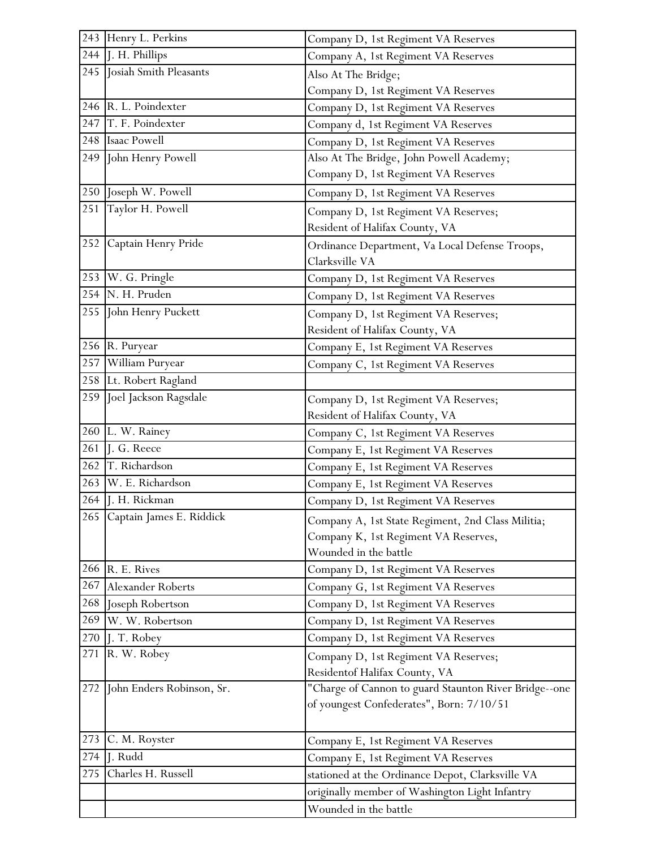|     | 243 Henry L. Perkins         | Company D, 1st Regiment VA Reserves                   |
|-----|------------------------------|-------------------------------------------------------|
| 244 | J. H. Phillips               | Company A, 1st Regiment VA Reserves                   |
| 245 | Josiah Smith Pleasants       | Also At The Bridge;                                   |
|     |                              | Company D, 1st Regiment VA Reserves                   |
|     | 246 R. L. Poindexter         | Company D, 1st Regiment VA Reserves                   |
|     | 247 T. F. Poindexter         | Company d, 1st Regiment VA Reserves                   |
|     | 248 Isaac Powell             | Company D, 1st Regiment VA Reserves                   |
|     | 249 John Henry Powell        | Also At The Bridge, John Powell Academy;              |
|     |                              | Company D, 1st Regiment VA Reserves                   |
|     | 250 Joseph W. Powell         | Company D, 1st Regiment VA Reserves                   |
| 251 | Taylor H. Powell             | Company D, 1st Regiment VA Reserves;                  |
|     |                              | Resident of Halifax County, VA                        |
|     | 252 Captain Henry Pride      | Ordinance Department, Va Local Defense Troops,        |
|     |                              | Clarksville VA                                        |
|     | 253 W. G. Pringle            | Company D, 1st Regiment VA Reserves                   |
|     | 254 N. H. Pruden             | Company D, 1st Regiment VA Reserves                   |
|     | 255 John Henry Puckett       | Company D, 1st Regiment VA Reserves;                  |
|     |                              | Resident of Halifax County, VA                        |
|     | 256 R. Puryear               | Company E, 1st Regiment VA Reserves                   |
| 257 | William Puryear              | Company C, 1st Regiment VA Reserves                   |
|     | 258 Lt. Robert Ragland       |                                                       |
| 259 | Joel Jackson Ragsdale        | Company D, 1st Regiment VA Reserves;                  |
|     |                              | Resident of Halifax County, VA                        |
|     | 260 L. W. Rainey             | Company C, 1st Regiment VA Reserves                   |
| 261 | J. G. Reece                  | Company E, 1st Regiment VA Reserves                   |
| 262 | T. Richardson                | Company E, 1st Regiment VA Reserves                   |
|     | 263 W. E. Richardson         | Company E, 1st Regiment VA Reserves                   |
|     | 264 J. H. Rickman            | Company D, 1st Regiment VA Reserves                   |
|     | 265 Captain James E. Riddick | Company A, 1st State Regiment, 2nd Class Militia;     |
|     |                              | Company K, 1st Regiment VA Reserves,                  |
|     |                              | Wounded in the battle                                 |
|     | 266 R. E. Rives              | Company D, 1st Regiment VA Reserves                   |
|     | 267 Alexander Roberts        | Company G, 1st Regiment VA Reserves                   |
| 268 | Joseph Robertson             | Company D, 1st Regiment VA Reserves                   |
| 269 | W. W. Robertson              | Company D, 1st Regiment VA Reserves                   |
|     | 270 J. T. Robey              | Company D, 1st Regiment VA Reserves                   |
|     | 271 R. W. Robey              | Company D, 1st Regiment VA Reserves;                  |
|     |                              | Residentof Halifax County, VA                         |
| 272 | John Enders Robinson, Sr.    | "Charge of Cannon to guard Staunton River Bridge--one |
|     |                              | of youngest Confederates", Born: 7/10/51              |
|     |                              |                                                       |
| 273 | C. M. Royster                | Company E, 1st Regiment VA Reserves                   |
| 274 | J. Rudd                      | Company E, 1st Regiment VA Reserves                   |
| 275 | Charles H. Russell           | stationed at the Ordinance Depot, Clarksville VA      |
|     |                              | originally member of Washington Light Infantry        |
|     |                              | Wounded in the battle                                 |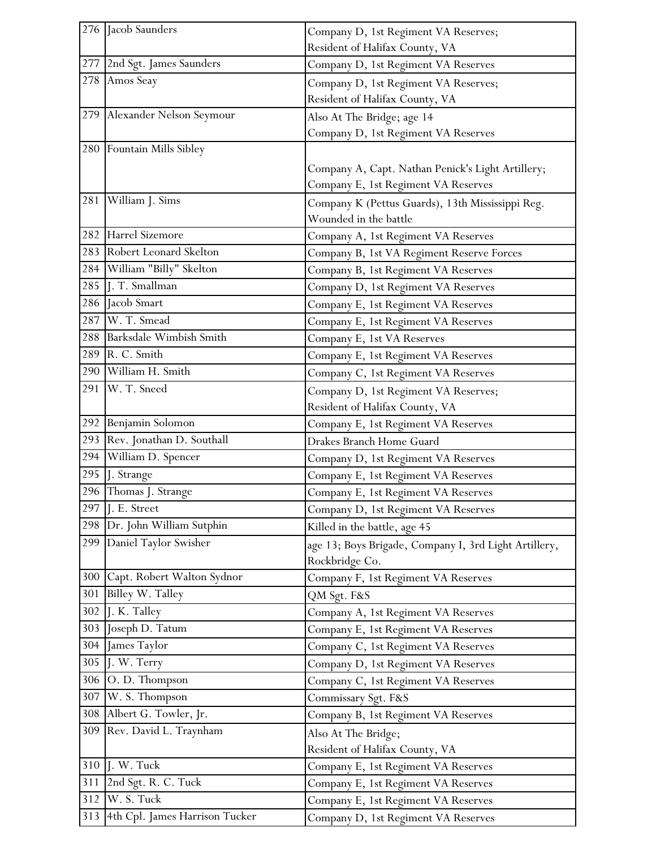|            | 276 Jacob Saunders                | Company D, 1st Regiment VA Reserves;                  |
|------------|-----------------------------------|-------------------------------------------------------|
|            |                                   | Resident of Halifax County, VA                        |
|            | 277 2nd Sgt. James Saunders       | Company D, 1st Regiment VA Reserves                   |
|            | 278 Amos Seay                     | Company D, 1st Regiment VA Reserves;                  |
|            |                                   | Resident of Halifax County, VA                        |
|            | 279 Alexander Nelson Seymour      | Also At The Bridge; age 14                            |
|            |                                   | Company D, 1st Regiment VA Reserves                   |
|            | 280 Fountain Mills Sibley         |                                                       |
|            |                                   | Company A, Capt. Nathan Penick's Light Artillery;     |
|            |                                   | Company E, 1st Regiment VA Reserves                   |
| 281        | William J. Sims                   | Company K (Pettus Guards), 13th Mississippi Reg.      |
|            |                                   | Wounded in the battle                                 |
|            | 282 Harrel Sizemore               | Company A, 1st Regiment VA Reserves                   |
|            | 283 Robert Leonard Skelton        | Company B, 1st VA Regiment Reserve Forces             |
| 284        | William "Billy" Skelton           | Company B, 1st Regiment VA Reserves                   |
| 285        | J. T. Smallman                    | Company D, 1st Regiment VA Reserves                   |
| 286        | Jacob Smart                       | Company E, 1st Regiment VA Reserves                   |
| 287        | W. T. Smead                       | Company E, 1st Regiment VA Reserves                   |
|            | 288 Barksdale Wimbish Smith       | Company E, 1st VA Reserves                            |
|            | 289 R. C. Smith                   | Company E, 1st Regiment VA Reserves                   |
|            | 290 William H. Smith              | Company C, 1st Regiment VA Reserves                   |
|            | 291 W. T. Sneed                   | Company D, 1st Regiment VA Reserves;                  |
|            |                                   | Resident of Halifax County, VA                        |
|            | 292 Benjamin Solomon              | Company E, 1st Regiment VA Reserves                   |
| 293        | Rev. Jonathan D. Southall         | Drakes Branch Home Guard                              |
| 294        | William D. Spencer                | Company D, 1st Regiment VA Reserves                   |
| 295<br>296 | J. Strange                        | Company E, 1st Regiment VA Reserves                   |
|            | Thomas J. Strange<br>J. E. Street | Company E, 1st Regiment VA Reserves                   |
| 297<br>298 | Dr. John William Sutphin          | Company D, 1st Regiment VA Reserves                   |
| 299        | Daniel Taylor Swisher             | Killed in the battle, age 45                          |
|            |                                   | age 13; Boys Brigade, Company I, 3rd Light Artillery, |
|            | 300 Capt. Robert Walton Sydnor    | Rockbridge Co.<br>Company F, 1st Regiment VA Reserves |
| 301        | Billey W. Talley                  | QM Sgt. F&S                                           |
| 302        | J. K. Talley                      | Company A, 1st Regiment VA Reserves                   |
| 303        | Joseph D. Tatum                   | Company E, 1st Regiment VA Reserves                   |
| 304        | James Taylor                      | Company C, 1st Regiment VA Reserves                   |
| 305        | J. W. Terry                       | Company D, 1st Regiment VA Reserves                   |
| 306        | O.D. Thompson                     | Company C, 1st Regiment VA Reserves                   |
| 307        | W. S. Thompson                    | Commissary Sgt. F&S                                   |
|            | 308 Albert G. Towler, Jr.         | Company B, 1st Regiment VA Reserves                   |
|            | 309 Rev. David L. Traynham        | Also At The Bridge;                                   |
|            |                                   | Resident of Halifax County, VA                        |
| 310        | J. W. Tuck                        | Company E, 1st Regiment VA Reserves                   |
| 311        | 2nd Sgt. R. C. Tuck               | Company E, 1st Regiment VA Reserves                   |
| 312        | W. S. Tuck                        | Company E, 1st Regiment VA Reserves                   |
| 313        | 4th Cpl. James Harrison Tucker    | Company D, 1st Regiment VA Reserves                   |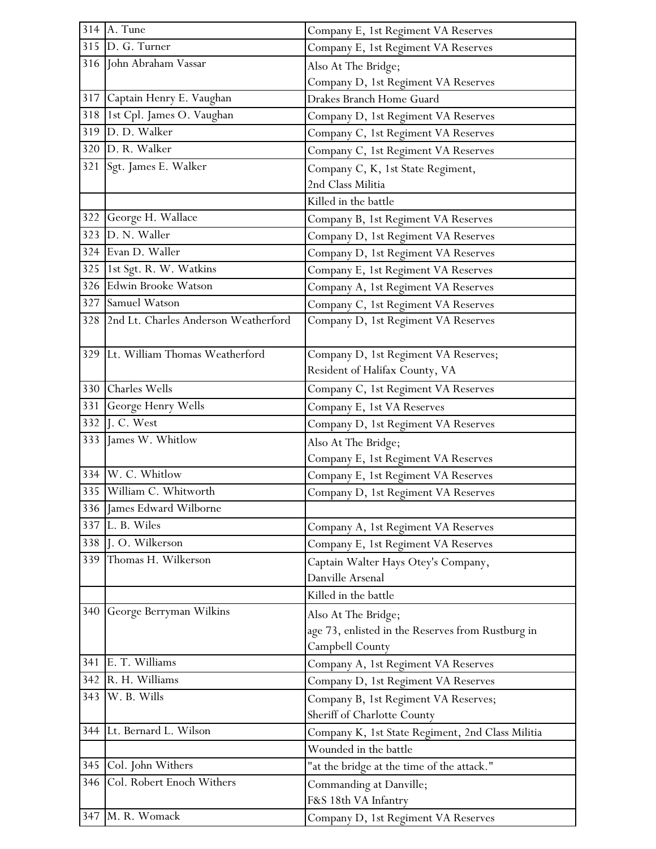|     | 314 A. Tune                              | Company E, 1st Regiment VA Reserves               |
|-----|------------------------------------------|---------------------------------------------------|
|     | 315 D. G. Turner                         | Company E, 1st Regiment VA Reserves               |
|     | 316 John Abraham Vassar                  | Also At The Bridge;                               |
|     |                                          | Company D, 1st Regiment VA Reserves               |
|     | 317 Captain Henry E. Vaughan             | Drakes Branch Home Guard                          |
| 318 | 1st Cpl. James O. Vaughan                | Company D, 1st Regiment VA Reserves               |
|     | 319 D. D. Walker                         | Company C, 1st Regiment VA Reserves               |
|     | 320 D. R. Walker                         | Company C, 1st Regiment VA Reserves               |
|     | 321 Sgt. James E. Walker                 | Company C, K, 1st State Regiment,                 |
|     |                                          | 2nd Class Militia                                 |
|     |                                          | Killed in the battle                              |
|     | 322 George H. Wallace                    | Company B, 1st Regiment VA Reserves               |
|     | 323 D. N. Waller                         | Company D, 1st Regiment VA Reserves               |
|     | 324 Evan D. Waller                       | Company D, 1st Regiment VA Reserves               |
|     | 325 1st Sgt. R. W. Watkins               | Company E, 1st Regiment VA Reserves               |
|     | 326 Edwin Brooke Watson                  | Company A, 1st Regiment VA Reserves               |
|     | 327 Samuel Watson                        | Company C, 1st Regiment VA Reserves               |
|     | 328 2nd Lt. Charles Anderson Weatherford | Company D, 1st Regiment VA Reserves               |
|     |                                          |                                                   |
|     | 329 Lt. William Thomas Weatherford       | Company D, 1st Regiment VA Reserves;              |
|     |                                          | Resident of Halifax County, VA                    |
|     | 330 Charles Wells                        | Company C, 1st Regiment VA Reserves               |
| 331 | George Henry Wells                       | Company E, 1st VA Reserves                        |
| 332 | J. C. West                               | Company D, 1st Regiment VA Reserves               |
|     | 333 James W. Whitlow                     | Also At The Bridge;                               |
|     |                                          | Company E, 1st Regiment VA Reserves               |
|     | 334 W. C. Whitlow                        | Company E, 1st Regiment VA Reserves               |
|     | 335 William C. Whitworth                 | Company D, 1st Regiment VA Reserves               |
|     | 336 James Edward Wilborne                |                                                   |
| 337 | L. B. Wiles                              | Company A, 1st Regiment VA Reserves               |
| 338 | J. O. Wilkerson                          | Company E, 1st Regiment VA Reserves               |
| 339 | Thomas H. Wilkerson                      | Captain Walter Hays Otey's Company,               |
|     |                                          | Danville Arsenal                                  |
|     |                                          | Killed in the battle                              |
| 340 | George Berryman Wilkins                  | Also At The Bridge;                               |
|     |                                          | age 73, enlisted in the Reserves from Rustburg in |
|     |                                          | Campbell County                                   |
| 341 | E. T. Williams                           | Company A, 1st Regiment VA Reserves               |
| 342 | R. H. Williams                           | Company D, 1st Regiment VA Reserves               |
|     | 343 W. B. Wills                          | Company B, 1st Regiment VA Reserves;              |
|     |                                          | Sheriff of Charlotte County                       |
|     | 344 Lt. Bernard L. Wilson                | Company K, 1st State Regiment, 2nd Class Militia  |
|     |                                          | Wounded in the battle                             |
| 345 | Col. John Withers                        | "at the bridge at the time of the attack."        |
| 346 | Col. Robert Enoch Withers                | Commanding at Danville;                           |
|     |                                          | F&S 18th VA Infantry                              |
|     | 347 M. R. Womack                         | Company D, 1st Regiment VA Reserves               |